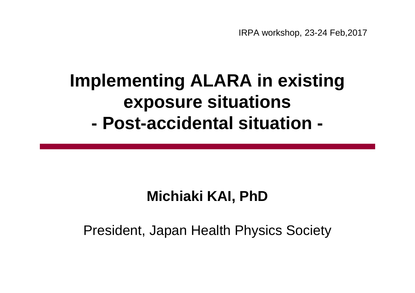## **Implementing ALARA in existing exposure situations - Post-accidental situation -**

## **Michiaki KAI, PhD**

### President, Japan Health Physics Society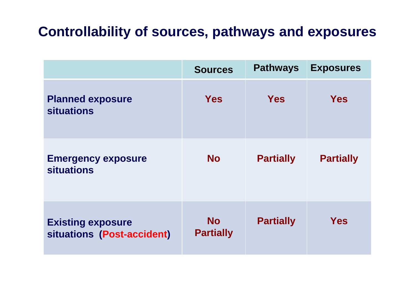### **Controllability of sources, pathways and exposures**

|                                                        | <b>Sources</b>                | <b>Pathways</b>  | <b>Exposures</b> |
|--------------------------------------------------------|-------------------------------|------------------|------------------|
| <b>Planned exposure</b><br><b>situations</b>           | <b>Yes</b>                    | <b>Yes</b>       | <b>Yes</b>       |
| <b>Emergency exposure</b><br><b>situations</b>         | <b>No</b>                     | <b>Partially</b> | <b>Partially</b> |
| <b>Existing exposure</b><br>situations (Post-accident) | <b>No</b><br><b>Partially</b> | <b>Partially</b> | <b>Yes</b>       |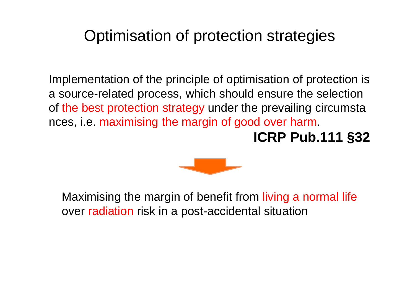## Optimisation of protection strategies

Implementation of the principle of optimisation of protection is a source-related process, which should ensure the selection of the best protection strategy under the prevailing circumsta nces, i.e. maximising the margin of good over harm.

## **ICRP Pub.111 §32**



Maximising the margin of benefit from living a normal life over radiation risk in a post-accidental situation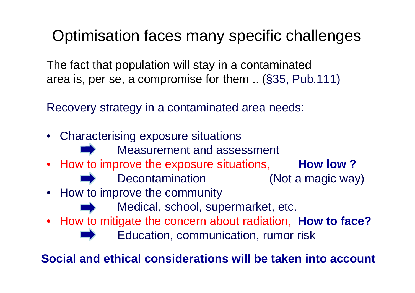## Optimisation faces many specific challenges

The fact that population will stay in a contaminated area is, per se, a compromise for them .. (§35, Pub.111)

Recovery strategy in a contaminated area needs:

- Characterising exposure situations
	- Measurement and assessment
- How to improve the exposure situations, **How low?** 
	- Decontamination (Not a magic way)
- How to improve the community
	- Medical, school, supermarket, etc.
- How to mitigate the concern about radiation, **How to face?**

Education, communication, rumor risk

**Social and ethical considerations will be taken into account**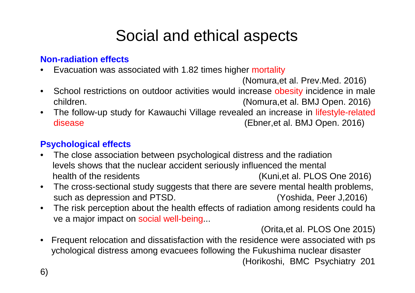## Social and ethical aspects

#### **Non-radiation effects**

• Evacuation was associated with 1.82 times higher mortality

(Nomura,et al. Prev.Med. 2016)

- School restrictions on outdoor activities would increase obesity incidence in male children. (Nomura,et al. BMJ Open. 2016)
- The follow-up study for Kawauchi Village revealed an increase in lifestyle-related disease (Ebner,et al. BMJ Open. 2016)

#### **Psychological effects**

- The close association between psychological distress and the radiation levels shows that the nuclear accident seriously influenced the mental health of the residents (Kuni,et al. PLOS One 2016)
- The cross-sectional study suggests that there are severe mental health problems, such as depression and PTSD. (Yoshida, Peer J,2016)
- The risk perception about the health effects of radiation among residents could ha ve a major impact on social well-being...

(Orita,et al. PLOS One 2015)

• Frequent relocation and dissatisfaction with the residence were associated with ps ychological distress among evacuees following the Fukushima nuclear disaster (Horikoshi, BMC Psychiatry 201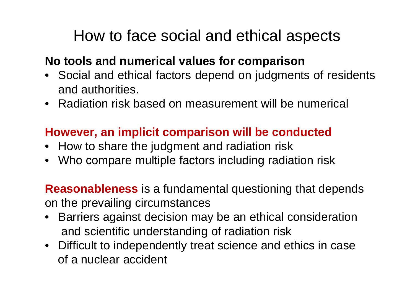## How to face social and ethical aspects

### **No tools and numerical values for comparison**

- Social and ethical factors depend on judgments of residents and authorities.
- Radiation risk based on measurement will be numerical

### **However, an implicit comparison will be conducted**

- How to share the judgment and radiation risk
- Who compare multiple factors including radiation risk

**Reasonableness** is a fundamental questioning that depends on the prevailing circumstances

- Barriers against decision may be an ethical consideration and scientific understanding of radiation risk
- Difficult to independently treat science and ethics in case of a nuclear accident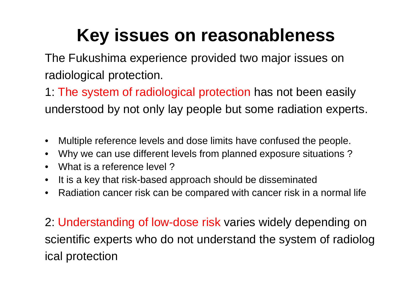# **Key issues on reasonableness**

The Fukushima experience provided two major issues on radiological protection.

1: The system of radiological protection has not been easily understood by not only lay people but some radiation experts.

- Multiple reference levels and dose limits have confused the people.
- Why we can use different levels from planned exposure situations ?
- What is a reference level ?
- It is a key that risk-based approach should be disseminated
- Radiation cancer risk can be compared with cancer risk in a normal life

2: Understanding of low-dose risk varies widely depending on scientific experts who do not understand the system of radiolog ical protection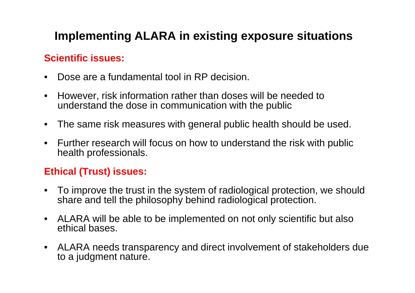### **Implementing ALARA in existing exposure situations**

#### **Scientific issues:**

- Dose are a fundamental tool in RP decision.
- However, risk information rather than doses will be needed to understand the dose in communication with the public
- The same risk measures with general public health should be used.
- Further research will focus on how to understand the risk with public health professionals.

#### **Ethical (Trust) issues:**

- To improve the trust in the system of radiological protection, we should share and tell the philosophy behind radiological protection.
- ALARA will be able to be implemented on not only scientific but also ethical bases.
- ALARA needs transparency and direct involvement of stakeholders due to a judgment nature.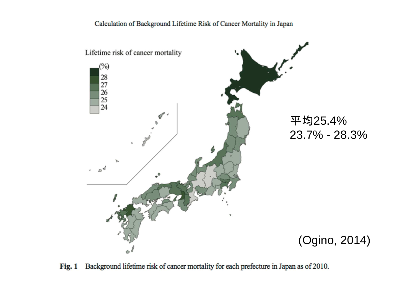#### Calculation of Background Lifetime Risk of Cancer Mortality in Japan



Background lifetime risk of cancer mortality for each prefecture in Japan as of 2010. **Fig. 1**